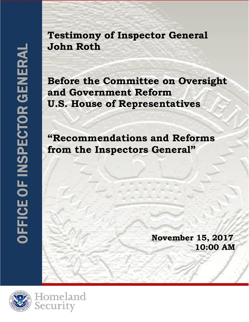**Testimony of Inspector General John Roth**

**OFFICE OF INSPECTOR GENERAL** Department of Homeland Security

**Before the Committee on Oversight and Government Reform U.S. House of Representatives**

**"Recommendations and Reforms from the Inspectors General"**

> **November 15, 2017 10:00 AM**



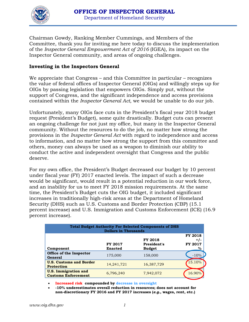

Chairman Gowdy, Ranking Member Cummings, and Members of the Committee, thank you for inviting me here today to discuss the implementation of the *Inspector General Empowerment Act of 2016* (IGEA), its impact on the Inspector General community, and areas of ongoing challenges.

## **Investing in the Inspectors General**

We appreciate that Congress – and this Committee in particular – recognizes the value of federal offices of Inspector General (OIGs) and willingly steps up for OIGs by passing legislation that empowers OIGs. Simply put, without the support of Congress, and the significant independence and access provisions contained within the *Inspector General Act*, we would be unable to do our job.

Unfortunately, many OIGs face cuts in the President's fiscal year 2018 budget request (President's Budget), some quite drastically. Budget cuts can present an ongoing challenge for not just my office, but many in the Inspector General community. Without the resources to do the job, no matter how strong the provisions in the *Inspector General Act* with regard to independence and access to information, and no matter how strong the support from this committee and others, money can always be used as a weapon to diminish our ability to conduct the active and independent oversight that Congress and the public deserve.

For my own office, the President's Budget decreased our budget by 10 percent under fiscal year (FY) 2017 enacted levels. The impact of such a decrease would be significant, would result in a potential reduction in our work force, and an inability for us to meet FY 2018 mission requirements. At the same time, the President's Budget cuts the OIG budget, it included significant increases in traditionally high-risk areas at the Department of Homeland Security (DHS) such as U.S. Customs and Border Protection (CBP) (15.1 percent increase) and U.S. Immigration and Customs Enforcement (ICE) (16.9 percent increase).

| <b>Total Budget Authority For Selected Components of DHS</b><br><b>Dollars in Thousands</b> |                                  |                                                |                                              |
|---------------------------------------------------------------------------------------------|----------------------------------|------------------------------------------------|----------------------------------------------|
| Component                                                                                   | <b>FY 2017</b><br><b>Enacted</b> | <b>FY 2018</b><br>President's<br><b>Budget</b> | <b>FY 2018</b><br>+7-<br><b>FY 2017</b><br>% |
| Office of the Inspector<br>General                                                          | 175,000                          | 158,000                                        | $-10%$                                       |
| <b>U.S. Customs and Border</b><br><b>Protection</b>                                         | 14,241,721                       | 16,387,729                                     | 15.10%                                       |
| <b>U.S. Immigration and</b><br><b>Customs Enforcement</b>                                   | 6,796,240                        | 7,942,072                                      | 16.90%                                       |

• **Increased risk compounded by decrease in oversight**

• **-10% underestimates overall reduction in resources; does not account for non-discretionary FY 2016 and FY 2017 increases (***e.g.***, wages, rent, etc.)**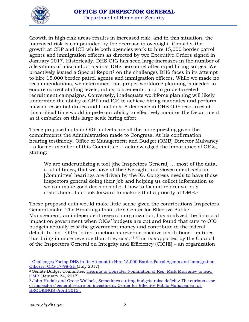

Growth in high-risk areas results in increased risk, and in this situation, the increased risk is compounded by the decrease in oversight. Consider the growth at CBP and ICE while both agencies work to hire 15,000 border patrol agents and immigration officers as directed by two Executive Orders signed in January 2017. Historically, DHS OIG has seen large increases in the number of allegations of misconduct against DHS personnel after rapid hiring surges. We proactively issued a Special Report<sup>[1](#page-2-0)</sup> on the challenges DHS faces in its attempt to hire 15,000 border patrol agents and immigration officers. While we made no recommendations, we determined that proper workforce planning is needed to ensure correct staffing levels, ratios, placements, and to guide targeted recruitment campaigns. Conversely, inadequate workforce planning will likely undermine the ability of CBP and ICE to achieve hiring mandates and perform mission essential duties and functions. A decrease in DHS OIG resources at this critical time would impede our ability to effectively monitor the Department as it embarks on this large scale hiring effort.

These proposed cuts in OIG budgets are all the more puzzling given the commitments the Administration made to Congress. At his confirmation hearing testimony, Office of Management and Budget (OMB) Director Mulvaney – a former member of this Committee -- acknowledged the importance of OIGs, stating:

We are underutilizing a tool [the Inspectors General] ... most of the data, a lot of times, that we have at the Oversight and Government Reform [Committee] hearings are driven by the IG. Congress needs to have those inspectors general doing their job and helping us collect information so we can make good decisions about how to fix and reform various institutions. I do look forward to making that a priority at OMB.[2](#page-2-1)

These proposed cuts would make little sense given the contributions Inspectors General make. The Brookings Institute's Center for Effective Public Management, an independent research organization, has analyzed the financial impact on government when OIGs' budgets are cut and found that cuts to OIG budgets actually *cost* the government money and contribute to the federal deficit. In fact, OIGs "often function as revenue-positive institutions – entities that bring in more revenue than they cost."[3](#page-2-2) This is supported by the Council of the Inspectors General on Integrity and Efficiency (CIGIE) – an organization

<span id="page-2-0"></span> $\overline{\phantom{a}}$ <sup>1</sup> Challenges Facing DHS in Its Attempt to Hire 15,000 Border Patrol Agents and Immigration [Officers, OIG-17-98-SR \(](https://www.oig.dhs.gov/sites/default/files/assets/2017/OIG-17-98-SR-Jul17.pdf)July 2017).

<span id="page-2-1"></span><sup>2</sup> Senate Budget Committee, [Hearing to Consider Nomination of Rep. Mick Mulvaney to lead](https://www.budget.senate.gov/hearing-to-consider-the-nomination-of-rep-mick-mulvaney-r-sc-to-lead-the-white-house-office-of-management-and-budget)  [OMB](https://www.budget.senate.gov/hearing-to-consider-the-nomination-of-rep-mick-mulvaney-r-sc-to-lead-the-white-house-office-of-management-and-budget) (January 24, 2017).

<span id="page-2-2"></span><sup>3</sup> [John Hudak and Grace Wallack, Sometimes cutting budgets raise deficits: The curious case](https://www.brookings.edu/wp-content/uploads/2016/06/CEPMHudakWallackOIG.pdf)  [of inspectors' general return on investment, Center for Effective Public Management at](https://www.brookings.edu/wp-content/uploads/2016/06/CEPMHudakWallackOIG.pdf)  [BROOKINGS \(April 2015\).](https://www.brookings.edu/wp-content/uploads/2016/06/CEPMHudakWallackOIG.pdf)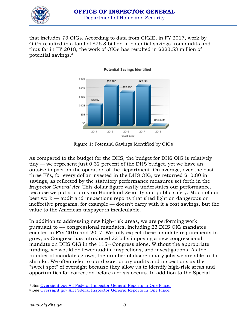

that includes 73 OIGs. According to data from CIGIE, in FY 2017, work by OIGs resulted in a total of \$26.3 billion in potential savings from audits and thus far in FY 2018, the work of OIGs has resulted in \$223.53 million of potential savings.[4](#page-3-0)



**Potential Savings Identified** 

Figure 1: Potential Savings Identified by OIGs<sup>[5](#page-3-1)</sup>

As compared to the budget for the DHS, the budget for DHS OIG is relatively tiny — we represent just 0.32 percent of the DHS budget, yet we have an outsize impact on the operation of the Department. On average, over the past three FYs, for every dollar invested in the DHS OIG, we returned \$10.80 in savings, as reflected by the statutory performance measures set forth in the *Inspector General Act*. This dollar figure vastly understates our performance, because we put a priority on Homeland Security and public safety. Much of our best work — audit and inspections reports that shed light on dangerous or ineffective programs, for example — doesn't carry with it a cost savings, but the value to the American taxpayer is incalculable.

In addition to addressing new high-risk areas, we are performing work pursuant to 44 congressional mandates, including 23 DHS OIG mandates enacted in FYs 2016 and 2017. We fully expect these mandate requirements to grow, as Congress has introduced 22 bills imposing a new congressional mandate on DHS OIG in the 115<sup>th</sup> Congress alone. Without the appropriate funding, we would do fewer audits, inspections, and investigations. As the number of mandates grows, the number of discretionary jobs we are able to do shrinks. We often refer to our discretionary audits and inspections as the "sweet spot" of oversight because they allow us to identify high-risk areas and opportunities for correction before a crisis occurs. In addition to the Special

l

<span id="page-3-0"></span><sup>4</sup> *See* [Oversight.gov All Federal Inspector General Reports in One Place.](https://www.oversight.gov/)

<span id="page-3-1"></span><sup>5</sup> *See* [Oversight.gov All Federal Inspector General Reports in One Place.](https://www.oversight.gov/)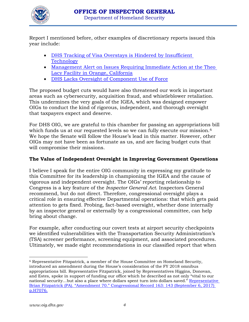

Report I mentioned before, other examples of discretionary reports issued this year include:

- DHS Tracking of Visa Overstays is Hindered by Insufficient **[Technology](https://www.oig.dhs.gov/sites/default/files/assets/2017/OIG-17-56-May17_0.pdf)**
- [Management Alert on Issues Requiring Immediate Action at the Theo](https://www.oig.dhs.gov/sites/default/files/assets/2017/OIG-mga-030617.pdf)  [Lacy Facility in Orange, California](https://www.oig.dhs.gov/sites/default/files/assets/2017/OIG-mga-030617.pdf)
- [DHS Lacks Oversight of Component Use of Force](https://www.oig.dhs.gov/sites/default/files/assets/2017/OIG-17-22-Jan17.pdf)

The proposed budget cuts would have also threatened our work in important areas such as cybersecurity, acquisition fraud, and whistleblower retaliation. This undermines the very goals of the IGEA, which was designed empower OIGs to conduct the kind of rigorous, independent, and thorough oversight that taxpayers expect and deserve.

For DHS OIG, we are grateful to this chamber for passing an appropriations bill which funds us at our requested levels so we can fully execute our mission.<sup>[6](#page-4-0)</sup> We hope the Senate will follow the House's lead in this matter. However, other OIGs may not have been as fortunate as us, and are facing budget cuts that will compromise their missions.

## **The Value of Independent Oversight in Improving Government Operations**

I believe I speak for the entire OIG community in expressing my gratitude to this Committee for its leadership in championing the IGEA and the cause of vigorous and independent oversight. The OIGs' reporting relationship to Congress is a key feature of the *Inspector General Act*. Inspectors General recommend, but do not direct. Therefore, congressional oversight plays a critical role in ensuring effective Departmental operations: that which gets paid attention to gets fixed. Probing, fact-based oversight, whether done internally by an inspector general or externally by a congressional committee, can help bring about change.

For example, after conducting our covert tests at airport security checkpoints we identified vulnerabilities with the Transportation Security Administration's (TSA) screener performance, screening equipment, and associated procedures. Ultimately, we made eight recommendations in our classified report that when

<span id="page-4-0"></span> $\overline{\phantom{a}}$ <sup>6</sup> Representative Fitzpatrick, a member of the House Committee on Homeland Security, introduced an amendment during the House's consideration of the FY 2018 omnibus appropriations bill. Representative Fitzpatrick, joined by Representatives Higgins, Donovan, and Estes, spoke in support of funding our office which he described as not only "vital to our national security…but also a place where dollars spent turn into dollars saved." [Representative](https://www.congress.gov/congressional-record/2017/09/06/house-section/article/H7072-2?)  [Brian Fitzpatrick \(PA\). "Amendment 70." Congressional Record 163: 143 \(September 6, 2017\)](https://www.congress.gov/congressional-record/2017/09/06/house-section/article/H7072-2?)  [p.H7076.](https://www.congress.gov/congressional-record/2017/09/06/house-section/article/H7072-2?)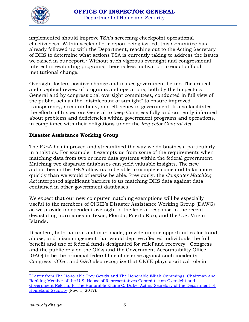

implemented should improve TSA's screening checkpoint operational effectiveness. Within weeks of our report being issued, this Committee has already followed up with the Department, reaching out to the Acting Secretary of DHS to determine what actions TSA is currently taking to address the issues we raised in our report.<sup>[7](#page-5-0)</sup> Without such vigorous oversight and congressional interest in evaluating programs, there is less motivation to enact difficult institutional change.

Oversight fosters positive change and makes government better. The critical and skeptical review of programs and operations, both by the Inspectors General and by congressional oversight committees, conducted in full view of the public, acts as the "disinfectant of sunlight" to ensure improved transparency, accountability, and efficiency in government. It also facilitates the efforts of Inspectors General to keep Congress fully and currently informed about problems and deficiencies within government programs and operations, in compliance with their obligations under the *Inspector General Act*.

## **Disaster Assistance Working Group**

The IGEA has improved and streamlined the way we do business, particularly in analytics. For example, it exempts us from some of the requirements when matching data from two or more data systems within the federal government. Matching two disparate databases can yield valuable insights. The new authorities in the IGEA allow us to be able to complete some audits far more quickly than we would otherwise be able. Previously, the *Computer Matching Act* interposed significant barriers to us matching DHS data against data contained in other government databases.

We expect that our new computer matching exemptions will be especially useful to the members of CIGIE's Disaster Assistance Working Group (DAWG) as we provide independent oversight of the federal response to the recent devastating hurricanes in Texas, Florida, Puerto Rico, and the U.S. Virgin Islands.

Disasters, both natural and man-made, provide unique opportunities for fraud, abuse, and mismanagement that would deprive affected individuals the full benefit and use of federal funds designated for relief and recovery. Congress and the public rely on the OIGs and the Government Accountability Office (GAO) to be the principal federal line of defense against such incidents. Congress, OIGs, and GAO also recognize that CIGIE plays a critical role in

<span id="page-5-0"></span> $\overline{\phantom{a}}$ <sup>7</sup> [Letter from The Honorable Trey Gowdy and The Honorable Elijah Cummings, Chairman and](https://oversight.house.gov/wp-content/uploads/2017/11/2017-11-01-TG-EEC-to-Duke-DHS-TSA-Airport-Security-due-11-15.pdf)  [Ranking Member of the U.S. House of Representatives Committee on Oversight and](https://oversight.house.gov/wp-content/uploads/2017/11/2017-11-01-TG-EEC-to-Duke-DHS-TSA-Airport-Security-due-11-15.pdf)  [Government Reform, to The Honorable Elaine C. Duke, Acting Secretary of the Department of](https://oversight.house.gov/wp-content/uploads/2017/11/2017-11-01-TG-EEC-to-Duke-DHS-TSA-Airport-Security-due-11-15.pdf)  [Homeland Security](https://oversight.house.gov/wp-content/uploads/2017/11/2017-11-01-TG-EEC-to-Duke-DHS-TSA-Airport-Security-due-11-15.pdf) (Nov. 1, 2017).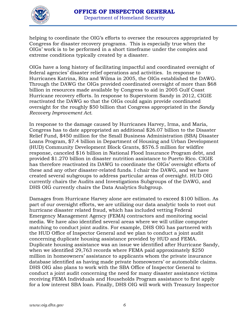

helping to coordinate the OIG's efforts to oversee the resources appropriated by Congress for disaster recovery programs. This is especially true when the OIGs' work is to be performed in a short timeframe under the complex and extreme conditions typically created by a disaster.

OIGs have a long history of facilitating impactful and coordinated oversight of federal agencies' disaster relief operations and activities. In response to Hurricanes Katrina, Rita and Wilma in 2005, the OIGs established the DAWG. Through the DAWG the OIGs provided coordinated oversight of more than \$68 billion in resources made available by Congress to aid in 2005 Gulf Coast Hurricane recovery efforts. In response to Superstorm Sandy in 2012, CIGIE reactivated the DAWG so that the OIGs could again provide coordinated oversight for the roughly \$50 billion that Congress appropriated in the *Sandy Recovery Improvement Act*.

In response to the damage caused by Hurricanes Harvey, Irma, and Maria, Congress has to date appropriated an additional \$26.07 billion to the Disaster Relief Fund, \$450 million for the Small Business Administration (SBA) Disaster Loans Program, \$7.4 billion in Department of Housing and Urban Development (HUD) Community Development Block Grants, \$576.5 million for wildfire response, canceled \$16 billion in National Flood Insurance Program debt, and provided \$1.270 billion in disaster nutrition assistance to Puerto Rico. CIGIE has therefore reactivated its DAWG to coordinate the OIGs' oversight efforts of these and any other disaster-related funds. I chair the DAWG, and we have created several subgroups to address particular areas of oversight. HUD OIG currently chairs the Audits and Investigations Subgroups of the DAWG, and DHS OIG currently chairs the Data Analytics Subgroup.

Damages from Hurricane Harvey alone are estimated to exceed \$100 billion. As part of our oversight efforts, we are utilizing our data analytic tools to root out hurricane disaster related fraud, which has included vetting Federal Emergency Management Agency (FEMA) contractors and monitoring social media. We have also identified several areas where we will utilize computer matching to conduct joint audits. For example, DHS OIG has partnered with the HUD Office of Inspector General and we plan to conduct a joint audit concerning duplicate housing assistance provided by HUD and FEMA. Duplicate housing assistance was an issue we identified after Hurricane Sandy, when we identified 29,763 records where FEMA paid approximately \$250 million in homeowners' assistance to applicants whom the private insurance database identified as having made private homeowners' or automobile claims. DHS OIG also plans to work with the SBA Office of Inspector General to conduct a joint audit concerning the need for many disaster assistance victims receiving FEMA Individuals and Households Program assistance to first apply for a low interest SBA loan. Finally, DHS OIG will work with Treasury Inspector